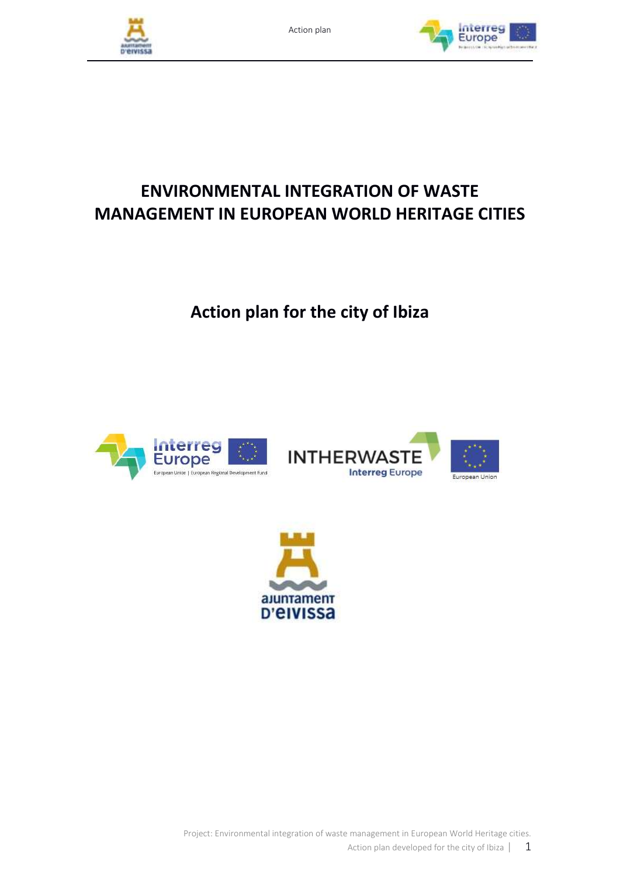



# **ENVIRONMENTAL INTEGRATION OF WASTE MANAGEMENT IN EUROPEAN WORLD HERITAGE CITIES**

**Action plan for the city of Ibiza**







Project: Environmental integration of waste management in European World Heritage cities.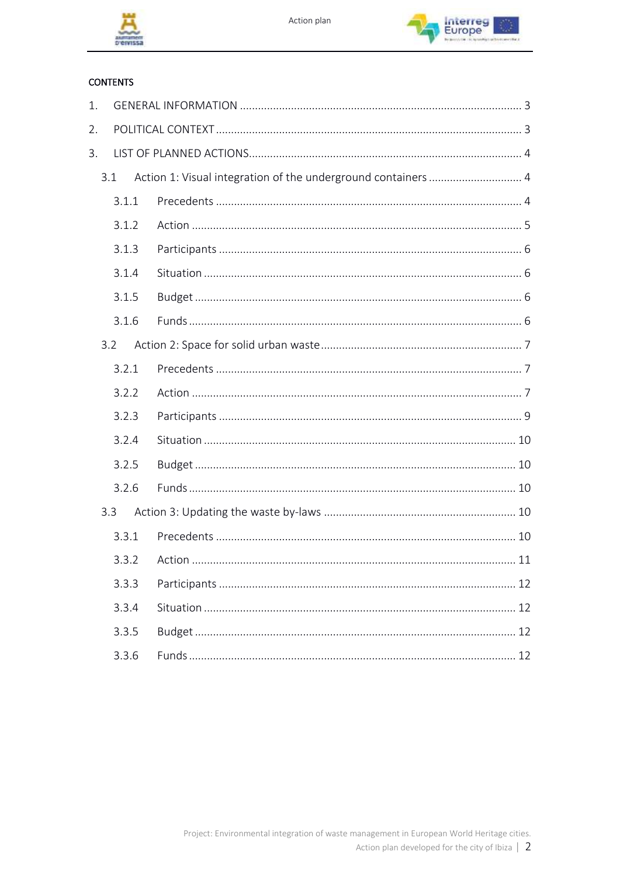



#### **CONTENTS**

| 1. |       |                                                               |  |  |
|----|-------|---------------------------------------------------------------|--|--|
| 2. |       |                                                               |  |  |
| 3. |       |                                                               |  |  |
|    | 3.1   | Action 1: Visual integration of the underground containers  4 |  |  |
|    | 3.1.1 |                                                               |  |  |
|    | 3.1.2 |                                                               |  |  |
|    | 3.1.3 |                                                               |  |  |
|    | 3.1.4 |                                                               |  |  |
|    | 3.1.5 |                                                               |  |  |
|    | 3.1.6 |                                                               |  |  |
|    | 3.2   |                                                               |  |  |
|    | 3.2.1 |                                                               |  |  |
|    |       |                                                               |  |  |
|    | 3.2.2 |                                                               |  |  |
|    | 3.2.3 |                                                               |  |  |
|    | 3.2.4 |                                                               |  |  |
|    | 3.2.5 |                                                               |  |  |
|    | 3.2.6 |                                                               |  |  |
|    | 3.3   |                                                               |  |  |
|    | 3.3.1 |                                                               |  |  |
|    | 3.3.2 |                                                               |  |  |
|    | 3.3.3 |                                                               |  |  |
|    | 3.3.4 |                                                               |  |  |
|    | 3.3.5 |                                                               |  |  |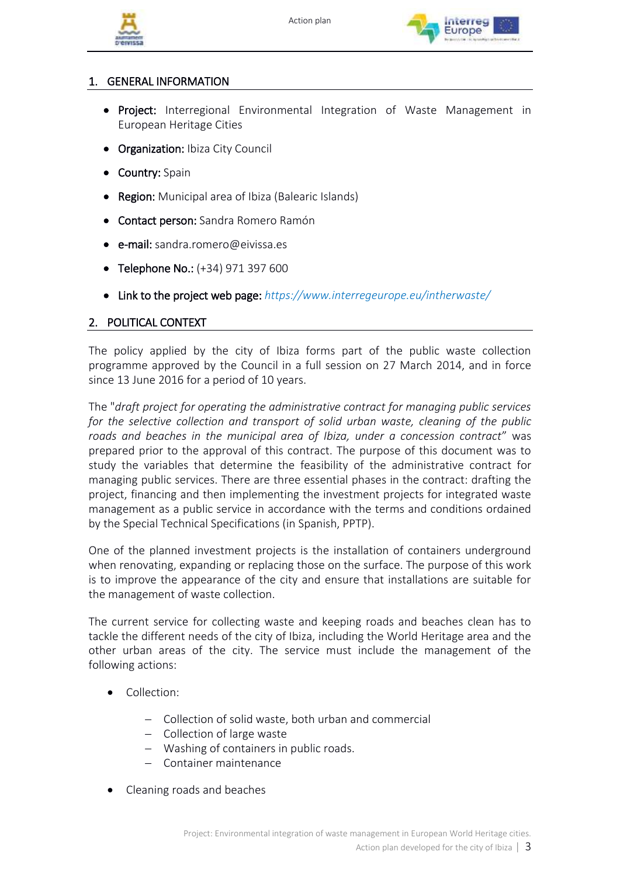



# <span id="page-2-0"></span>1. GENERAL INFORMATION

- Project: Interregional Environmental Integration of Waste Management in European Heritage Cities
- Organization: Ibiza City Council
- Country: Spain
- Region: Municipal area of Ibiza (Balearic Islands)
- Contact person: Sandra Romero Ramón
- e-mail: sandra.romero@eivissa.es
- Telephone No.: (+34) 971 397 600
- Link to the project web page: *https://www.interregeurope.eu/intherwaste/*

#### <span id="page-2-1"></span>2. POLITICAL CONTEXT

The policy applied by the city of Ibiza forms part of the public waste collection programme approved by the Council in a full session on 27 March 2014, and in force since 13 June 2016 for a period of 10 years.

The "*draft project for operating the administrative contract for managing public services for the selective collection and transport of solid urban waste, cleaning of the public roads and beaches in the municipal area of Ibiza, under a concession contract*" was prepared prior to the approval of this contract. The purpose of this document was to study the variables that determine the feasibility of the administrative contract for managing public services. There are three essential phases in the contract: drafting the project, financing and then implementing the investment projects for integrated waste management as a public service in accordance with the terms and conditions ordained by the Special Technical Specifications (in Spanish, PPTP).

One of the planned investment projects is the installation of containers underground when renovating, expanding or replacing those on the surface. The purpose of this work is to improve the appearance of the city and ensure that installations are suitable for the management of waste collection.

The current service for collecting waste and keeping roads and beaches clean has to tackle the different needs of the city of Ibiza, including the World Heritage area and the other urban areas of the city. The service must include the management of the following actions:

- Collection:
	- − Collection of solid waste, both urban and commercial
	- − Collection of large waste
	- − Washing of containers in public roads.
	- − Container maintenance
- Cleaning roads and beaches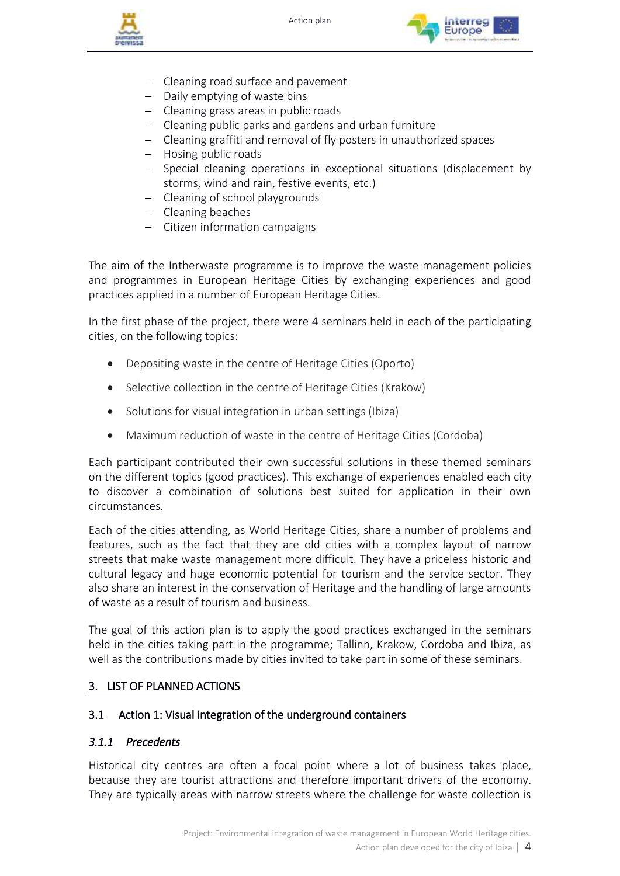



- − Cleaning road surface and pavement
- − Daily emptying of waste bins
- − Cleaning grass areas in public roads
- − Cleaning public parks and gardens and urban furniture
- − Cleaning graffiti and removal of fly posters in unauthorized spaces
- − Hosing public roads
- − Special cleaning operations in exceptional situations (displacement by storms, wind and rain, festive events, etc.)
- − Cleaning of school playgrounds
- − Cleaning beaches
- − Citizen information campaigns

The aim of the Intherwaste programme is to improve the waste management policies and programmes in European Heritage Cities by exchanging experiences and good practices applied in a number of European Heritage Cities.

In the first phase of the project, there were 4 seminars held in each of the participating cities, on the following topics:

- Depositing waste in the centre of Heritage Cities (Oporto)
- Selective collection in the centre of Heritage Cities (Krakow)
- Solutions for visual integration in urban settings (Ibiza)
- Maximum reduction of waste in the centre of Heritage Cities (Cordoba)

Each participant contributed their own successful solutions in these themed seminars on the different topics (good practices). This exchange of experiences enabled each city to discover a combination of solutions best suited for application in their own circumstances.

Each of the cities attending, as World Heritage Cities, share a number of problems and features, such as the fact that they are old cities with a complex layout of narrow streets that make waste management more difficult. They have a priceless historic and cultural legacy and huge economic potential for tourism and the service sector. They also share an interest in the conservation of Heritage and the handling of large amounts of waste as a result of tourism and business.

The goal of this action plan is to apply the good practices exchanged in the seminars held in the cities taking part in the programme; Tallinn, Krakow, Cordoba and Ibiza, as well as the contributions made by cities invited to take part in some of these seminars.

# <span id="page-3-0"></span>3. LIST OF PLANNED ACTIONS

# <span id="page-3-2"></span><span id="page-3-1"></span>3.1 Action 1: Visual integration of the underground containers

# *3.1.1 Precedents*

Historical city centres are often a focal point where a lot of business takes place, because they are tourist attractions and therefore important drivers of the economy. They are typically areas with narrow streets where the challenge for waste collection is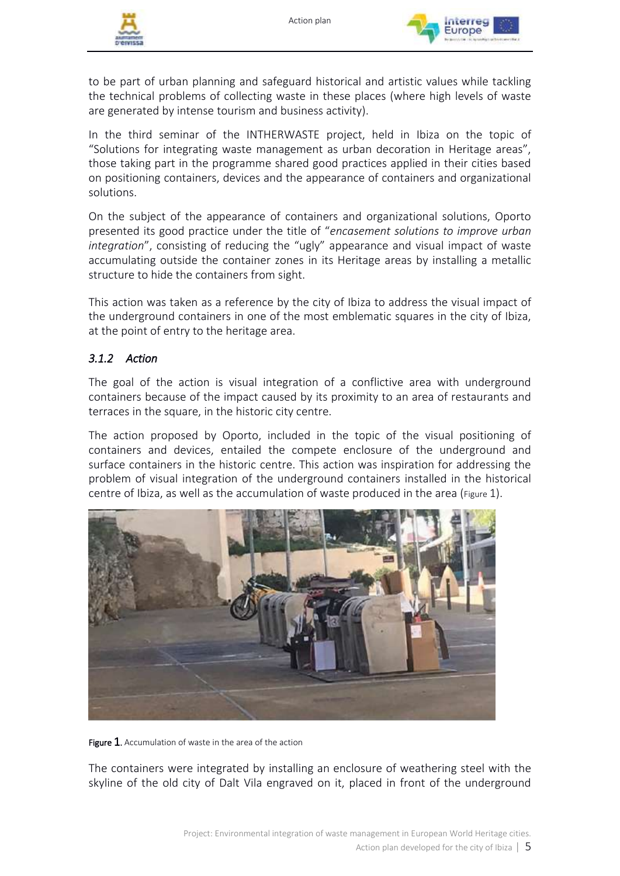



to be part of urban planning and safeguard historical and artistic values while tackling the technical problems of collecting waste in these places (where high levels of waste are generated by intense tourism and business activity).

In the third seminar of the INTHERWASTE project, held in Ibiza on the topic of "Solutions for integrating waste management as urban decoration in Heritage areas", those taking part in the programme shared good practices applied in their cities based on positioning containers, devices and the appearance of containers and organizational solutions.

On the subject of the appearance of containers and organizational solutions, Oporto presented its good practice under the title of "*encasement solutions to improve urban integration*", consisting of reducing the "ugly" appearance and visual impact of waste accumulating outside the container zones in its Heritage areas by installing a metallic structure to hide the containers from sight.

This action was taken as a reference by the city of Ibiza to address the visual impact of the underground containers in one of the most emblematic squares in the city of Ibiza, at the point of entry to the heritage area.

# <span id="page-4-0"></span>*3.1.2 Action*

The goal of the action is visual integration of a conflictive area with underground containers because of the impact caused by its proximity to an area of restaurants and terraces in the square, in the historic city centre.

The action proposed by Oporto, included in the topic of the visual positioning of containers and devices, entailed the compete enclosure of the underground and surface containers in the historic centre. This action was inspiration for addressing the problem of visual integration of the underground containers installed in the historical centre of Ibiza, as well as the accumulation of waste produced in the area ( $Figure 1$  $Figure 1$ ).



<span id="page-4-1"></span>Figure  $1$ . Accumulation of waste in the area of the action

The containers were integrated by installing an enclosure of weathering steel with the skyline of the old city of Dalt Vila engraved on it, placed in front of the underground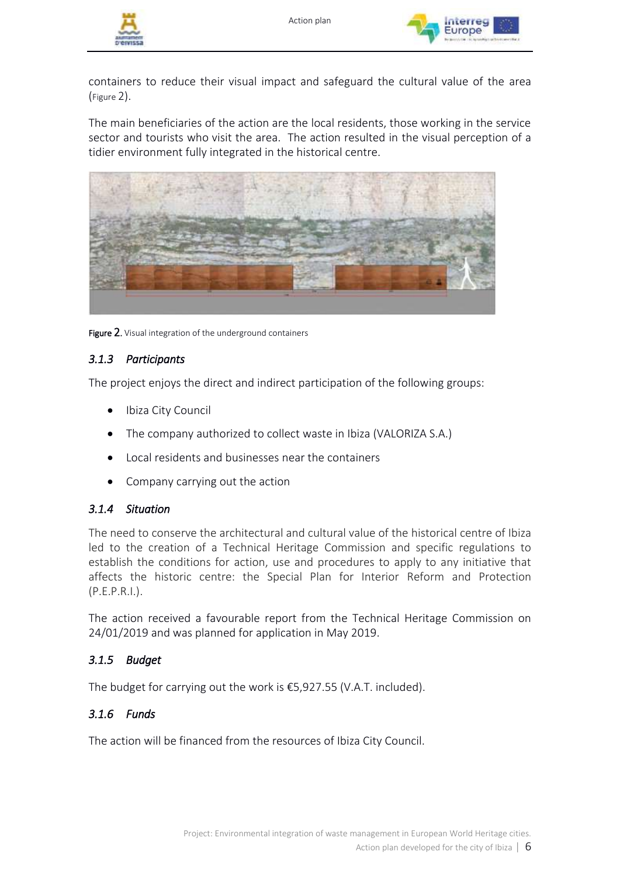



containers to reduce their visual impact and safeguard the cultural value of the area ([Figure](#page-5-4) 2).

The main beneficiaries of the action are the local residents, those working in the service sector and tourists who visit the area. The action resulted in the visual perception of a tidier environment fully integrated in the historical centre.



Figure 2. Visual integration of the underground containers

# <span id="page-5-4"></span><span id="page-5-0"></span>*3.1.3 Participants*

The project enjoys the direct and indirect participation of the following groups:

- Ibiza City Council
- The company authorized to collect waste in Ibiza (VALORIZA S.A.)
- Local residents and businesses near the containers
- Company carrying out the action

#### <span id="page-5-1"></span>*3.1.4 Situation*

The need to conserve the architectural and cultural value of the historical centre of Ibiza led to the creation of a Technical Heritage Commission and specific regulations to establish the conditions for action, use and procedures to apply to any initiative that affects the historic centre: the Special Plan for Interior Reform and Protection (P.E.P.R.I.).

The action received a favourable report from the Technical Heritage Commission on 24/01/2019 and was planned for application in May 2019.

# <span id="page-5-2"></span>*3.1.5 Budget*

The budget for carrying out the work is €5,927.55 (V.A.T. included).

# <span id="page-5-3"></span>*3.1.6 Funds*

The action will be financed from the resources of Ibiza City Council.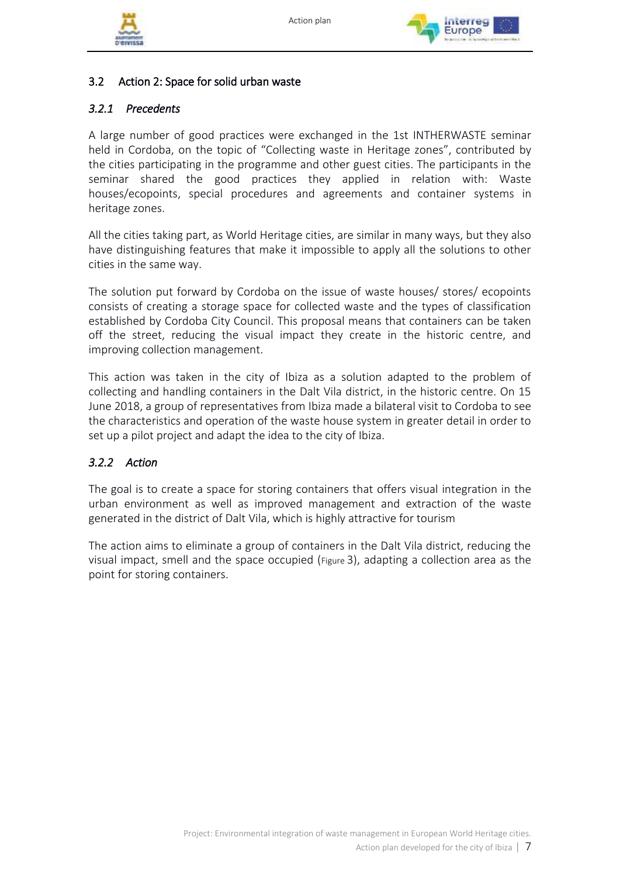





# <span id="page-6-0"></span>3.2 Action 2: Space for solid urban waste

# <span id="page-6-1"></span>*3.2.1 Precedents*

A large number of good practices were exchanged in the 1st INTHERWASTE seminar held in Cordoba, on the topic of "Collecting waste in Heritage zones", contributed by the cities participating in the programme and other guest cities. The participants in the seminar shared the good practices they applied in relation with: Waste houses/ecopoints, special procedures and agreements and container systems in heritage zones.

All the cities taking part, as World Heritage cities, are similar in many ways, but they also have distinguishing features that make it impossible to apply all the solutions to other cities in the same way.

The solution put forward by Cordoba on the issue of waste houses/ stores/ ecopoints consists of creating a storage space for collected waste and the types of classification established by Cordoba City Council. This proposal means that containers can be taken off the street, reducing the visual impact they create in the historic centre, and improving collection management.

This action was taken in the city of Ibiza as a solution adapted to the problem of collecting and handling containers in the Dalt Vila district, in the historic centre. On 15 June 2018, a group of representatives from Ibiza made a bilateral visit to Cordoba to see the characteristics and operation of the waste house system in greater detail in order to set up a pilot project and adapt the idea to the city of Ibiza.

# <span id="page-6-2"></span>*3.2.2 Action*

The goal is to create a space for storing containers that offers visual integration in the urban environment as well as improved management and extraction of the waste generated in the district of Dalt Vila, which is highly attractive for tourism

The action aims to eliminate a group of containers in the Dalt Vila district, reducing the visual impact, smell and the space occupied ([Figure](#page-7-0) 3), adapting a collection area as the point for storing containers.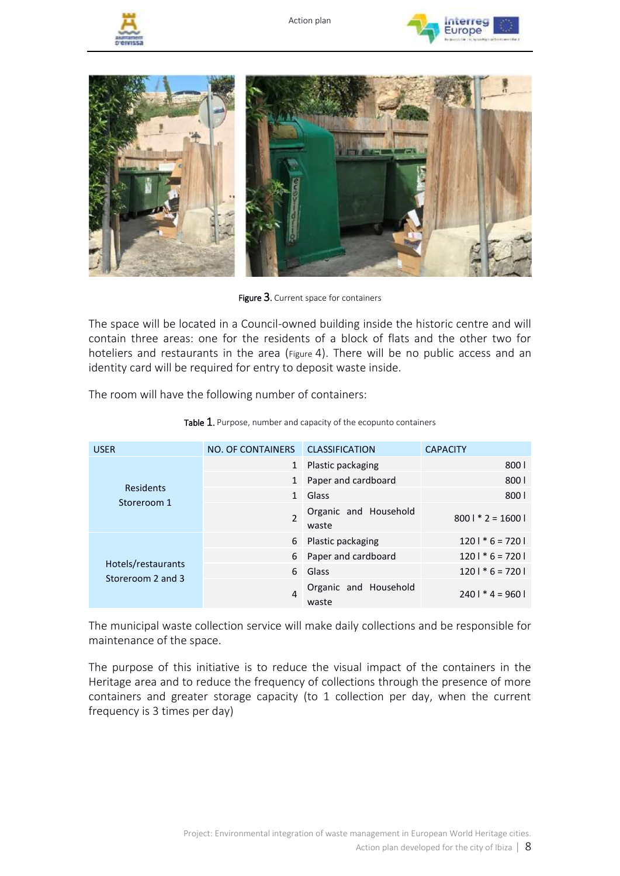







Figure 3. Current space for containers

<span id="page-7-0"></span>The space will be located in a Council-owned building inside the historic centre and will contain three areas: one for the residents of a block of flats and the other two for hoteliers and restaurants in the area ([Figure](#page-8-1) 4). There will be no public access and an identity card will be required for entry to deposit waste inside.

The room will have the following number of containers:

| <b>USER</b>                             | NO. OF CONTAINERS | <b>CLASSIFICATION</b>          | <b>CAPACITY</b>    |
|-----------------------------------------|-------------------|--------------------------------|--------------------|
|                                         | $\mathbf{1}$      | Plastic packaging              | 8001               |
| Residents                               | $\mathbf{1}$      | Paper and cardboard            | 8001               |
| Storeroom 1                             | $\mathbf{1}$      | Glass                          | 8001               |
|                                         |                   | Organic and Household<br>waste | $8001 * 2 = 16001$ |
|                                         | 6                 | Plastic packaging              | $1201 * 6 = 7201$  |
|                                         | 6                 | Paper and cardboard            | $1201 * 6 = 7201$  |
| Hotels/restaurants<br>Storeroom 2 and 3 | 6                 | Glass                          | $1201 * 6 = 7201$  |
|                                         | $\overline{4}$    | Organic and Household<br>waste | $2401 * 4 = 9601$  |

Table 1. Purpose, number and capacity of the ecopunto containers

The municipal waste collection service will make daily collections and be responsible for maintenance of the space.

The purpose of this initiative is to reduce the visual impact of the containers in the Heritage area and to reduce the frequency of collections through the presence of more containers and greater storage capacity (to 1 collection per day, when the current frequency is 3 times per day)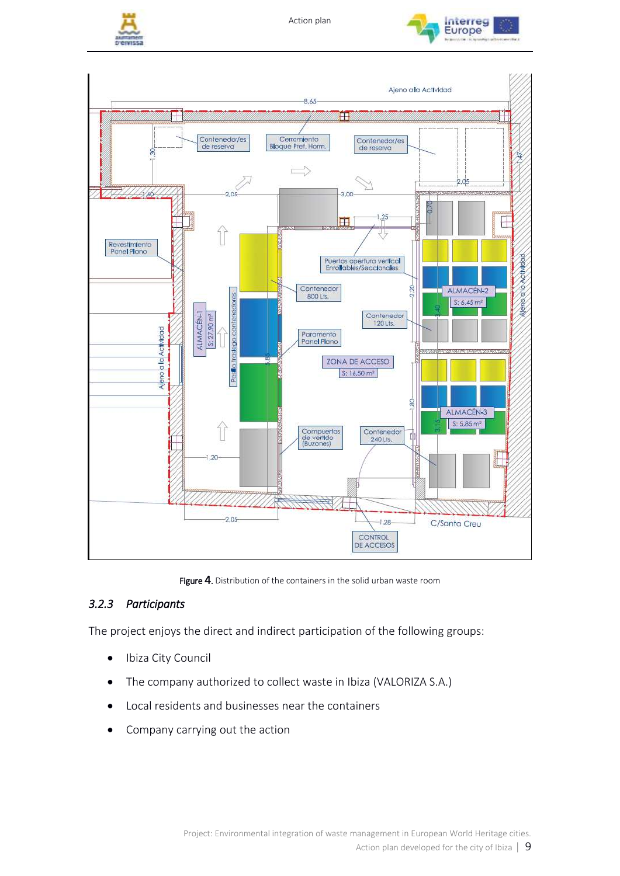





Figure 4. Distribution of the containers in the solid urban waste room

# <span id="page-8-1"></span><span id="page-8-0"></span>*3.2.3 Participants*

The project enjoys the direct and indirect participation of the following groups:

- Ibiza City Council
- The company authorized to collect waste in Ibiza (VALORIZA S.A.)
- Local residents and businesses near the containers
- Company carrying out the action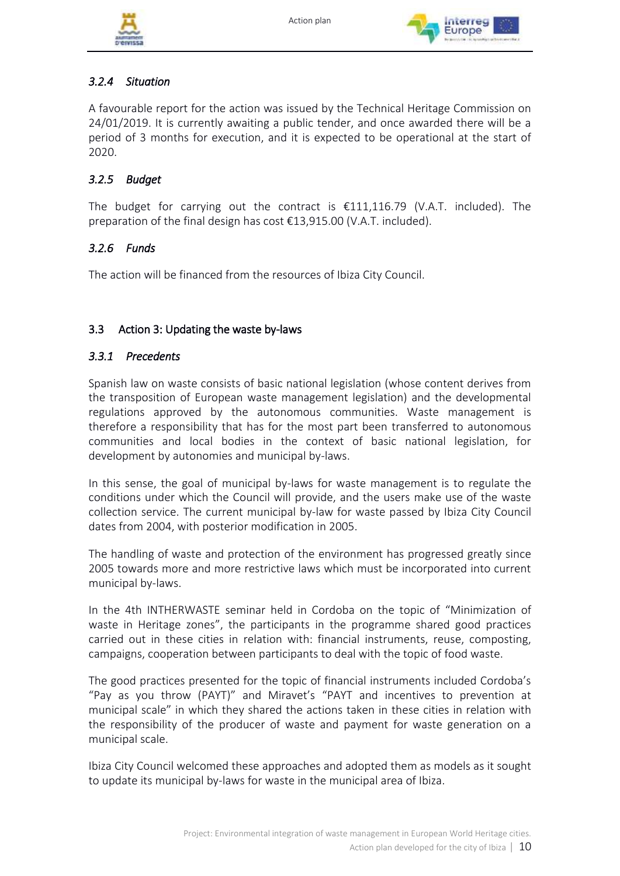



# <span id="page-9-0"></span>*3.2.4 Situation*

A favourable report for the action was issued by the Technical Heritage Commission on 24/01/2019. It is currently awaiting a public tender, and once awarded there will be a period of 3 months for execution, and it is expected to be operational at the start of 2020.

# <span id="page-9-1"></span>*3.2.5 Budget*

The budget for carrying out the contract is  $\epsilon$ 111,116.79 (V.A.T. included). The preparation of the final design has cost €13,915.00 (V.A.T. included).

# <span id="page-9-2"></span>*3.2.6 Funds*

The action will be financed from the resources of Ibiza City Council.

# <span id="page-9-3"></span>3.3 Action 3: Updating the waste by-laws

# <span id="page-9-4"></span>*3.3.1 Precedents*

Spanish law on waste consists of basic national legislation (whose content derives from the transposition of European waste management legislation) and the developmental regulations approved by the autonomous communities. Waste management is therefore a responsibility that has for the most part been transferred to autonomous communities and local bodies in the context of basic national legislation, for development by autonomies and municipal by-laws.

In this sense, the goal of municipal by-laws for waste management is to regulate the conditions under which the Council will provide, and the users make use of the waste collection service. The current municipal by-law for waste passed by Ibiza City Council dates from 2004, with posterior modification in 2005.

The handling of waste and protection of the environment has progressed greatly since 2005 towards more and more restrictive laws which must be incorporated into current municipal by-laws.

In the 4th INTHERWASTE seminar held in Cordoba on the topic of "Minimization of waste in Heritage zones", the participants in the programme shared good practices carried out in these cities in relation with: financial instruments, reuse, composting, campaigns, cooperation between participants to deal with the topic of food waste.

The good practices presented for the topic of financial instruments included Cordoba's "Pay as you throw (PAYT)" and Miravet's "PAYT and incentives to prevention at municipal scale" in which they shared the actions taken in these cities in relation with the responsibility of the producer of waste and payment for waste generation on a municipal scale.

Ibiza City Council welcomed these approaches and adopted them as models as it sought to update its municipal by-laws for waste in the municipal area of Ibiza.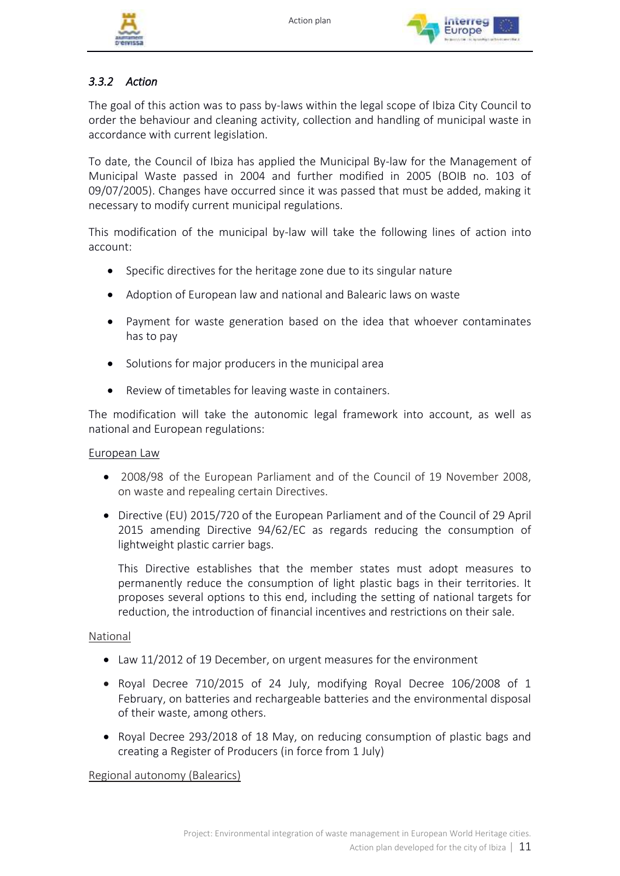



# <span id="page-10-0"></span>*3.3.2 Action*

The goal of this action was to pass by-laws within the legal scope of Ibiza City Council to order the behaviour and cleaning activity, collection and handling of municipal waste in accordance with current legislation.

To date, the Council of Ibiza has applied the Municipal By-law for the Management of Municipal Waste passed in 2004 and further modified in 2005 (BOIB no. 103 of 09/07/2005). Changes have occurred since it was passed that must be added, making it necessary to modify current municipal regulations.

This modification of the municipal by-law will take the following lines of action into account:

- Specific directives for the heritage zone due to its singular nature
- Adoption of European law and national and Balearic laws on waste
- Payment for waste generation based on the idea that whoever contaminates has to pay
- Solutions for major producers in the municipal area
- Review of timetables for leaving waste in containers.

The modification will take the autonomic legal framework into account, as well as national and European regulations:

# European Law

- 2008/98 of the European Parliament and of the Council of 19 November 2008, on waste and repealing certain Directives.
- Directive (EU) 2015/720 of the European Parliament and of the Council of 29 April 2015 amending Directive 94/62/EC as regards reducing the consumption of lightweight plastic carrier bags.

This Directive establishes that the member states must adopt measures to permanently reduce the consumption of light plastic bags in their territories. It proposes several options to this end, including the setting of national targets for reduction, the introduction of financial incentives and restrictions on their sale.

# National

- Law 11/2012 of 19 December, on urgent measures for the environment
- Royal Decree 710/2015 of 24 July, modifying Royal Decree 106/2008 of 1 February, on batteries and rechargeable batteries and the environmental disposal of their waste, among others.
- Royal Decree 293/2018 of 18 May, on reducing consumption of plastic bags and creating a Register of Producers (in force from 1 July)

Regional autonomy (Balearics)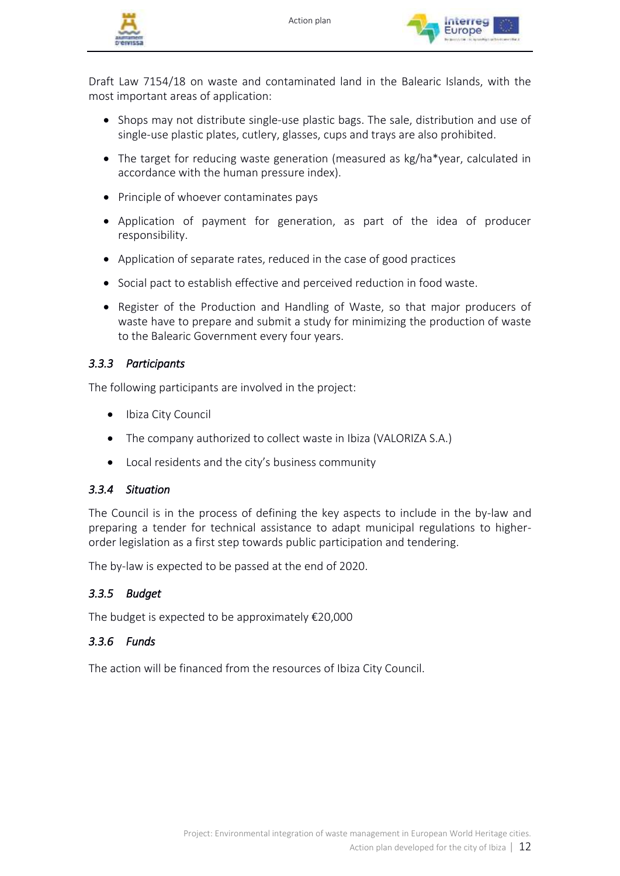



Draft Law 7154/18 on waste and contaminated land in the Balearic Islands, with the most important areas of application:

- Shops may not distribute single-use plastic bags. The sale, distribution and use of single-use plastic plates, cutlery, glasses, cups and trays are also prohibited.
- The target for reducing waste generation (measured as kg/ha\*year, calculated in accordance with the human pressure index).
- Principle of whoever contaminates pays
- Application of payment for generation, as part of the idea of producer responsibility.
- Application of separate rates, reduced in the case of good practices
- Social pact to establish effective and perceived reduction in food waste.
- Register of the Production and Handling of Waste, so that major producers of waste have to prepare and submit a study for minimizing the production of waste to the Balearic Government every four years.

# <span id="page-11-0"></span>*3.3.3 Participants*

The following participants are involved in the project:

- Ibiza City Council
- The company authorized to collect waste in Ibiza (VALORIZA S.A.)
- Local residents and the city's business community

# <span id="page-11-1"></span>*3.3.4 Situation*

The Council is in the process of defining the key aspects to include in the by-law and preparing a tender for technical assistance to adapt municipal regulations to higherorder legislation as a first step towards public participation and tendering.

The by-law is expected to be passed at the end of 2020.

# <span id="page-11-2"></span>*3.3.5 Budget*

The budget is expected to be approximately €20,000

# <span id="page-11-3"></span>*3.3.6 Funds*

The action will be financed from the resources of Ibiza City Council.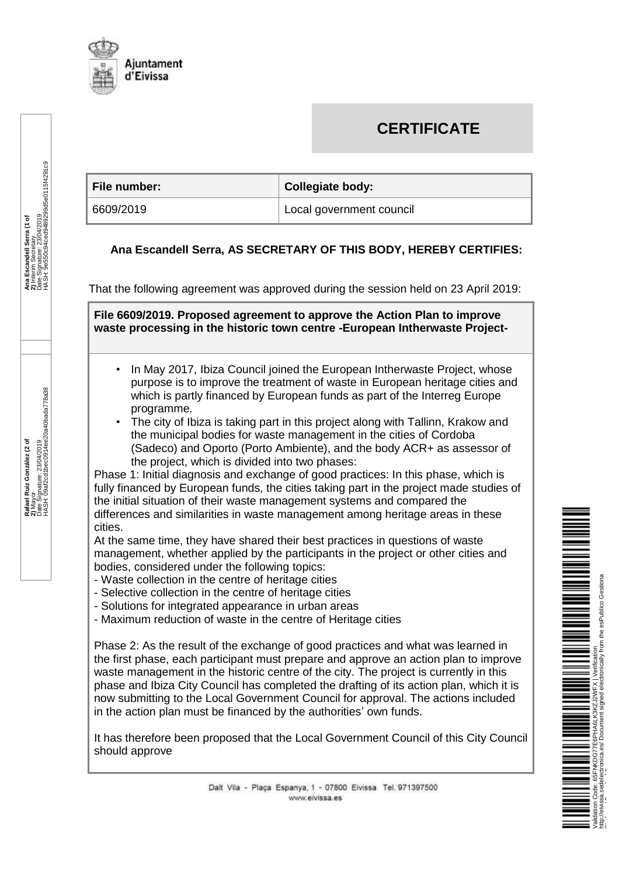

# **CERTIFICATE**

| ∣ File number: | <b>Collegiate body:</b>  |
|----------------|--------------------------|
| 6609/2019      | Local government council |

#### **Ana Escandell Serra, AS SECRETARY OF THIS BODY, HEREBY CERTIFIES:**

That the following agreement was approved during the session held on 23 April 2019:

**File 6609/2019. Proposed agreement to approve the Action Plan to improve waste processing in the historic town centre -European Intherwaste Project-**

- In May 2017, Ibiza Council joined the European Intherwaste Project, whose purpose is to improve the treatment of waste in European heritage cities and which is partly financed by European funds as part of the Interreg Europe programme.
- The city of Ibiza is taking part in this project along with Tallinn, Krakow and the municipal bodies for waste management in the cities of Cordoba (Sadeco) and Oporto (Porto Ambiente), and the body ACR+ as assessor of the project, which is divided into two phases:

Phase 1: Initial diagnosis and exchange of good practices: In this phase, which is fully financed by European funds, the cities taking part in the project made studies of the initial situation of their waste management systems and compared the differences and similarities in waste management among heritage areas in these cities.

At the same time, they have shared their best practices in questions of waste management, whether applied by the participants in the project or other cities and bodies, considered under the following topics:

- Waste collection in the centre of heritage cities
- Selective collection in the centre of heritage cities
- Solutions for integrated appearance in urban areas
- Maximum reduction of waste in the centre of Heritage cities

Phase 2: As the result of the exchange of good practices and what was learned in the first phase, each participant must prepare and approve an action plan to improve waste management in the historic centre of the city. The project is currently in this phase and Ibiza City Council has completed the drafting of its action plan, which it is now submitting to the Local Government Council for approval. The actions included in the action plan must be financed by the authorities' own funds.

It has therefore been proposed that the Local Government Council of this City Council should approve



Ana Escandell Serra (1 of<br>2) Interim Secretary<br>12 March Secretary<br>HASH: 9e550c94ced9489299d5e0115f4291c9 HASH: 9e550c94ced9489299d5e0115f4291c9 **Ana Escandell Serra (1 of**  Date Signature: 23/04/2019 **2)** Interim Secretary

**Rafael Ruiz González (2 of Rafael Ruiz González (2 of<br>2) Mayor<br>2) Mayor<br>HASH: 09af2cd1bec0914ee20a40bada778a38** Date Signature: 23/04/2019 HASH: 09af2cd1bec0914ee20a40bada778a38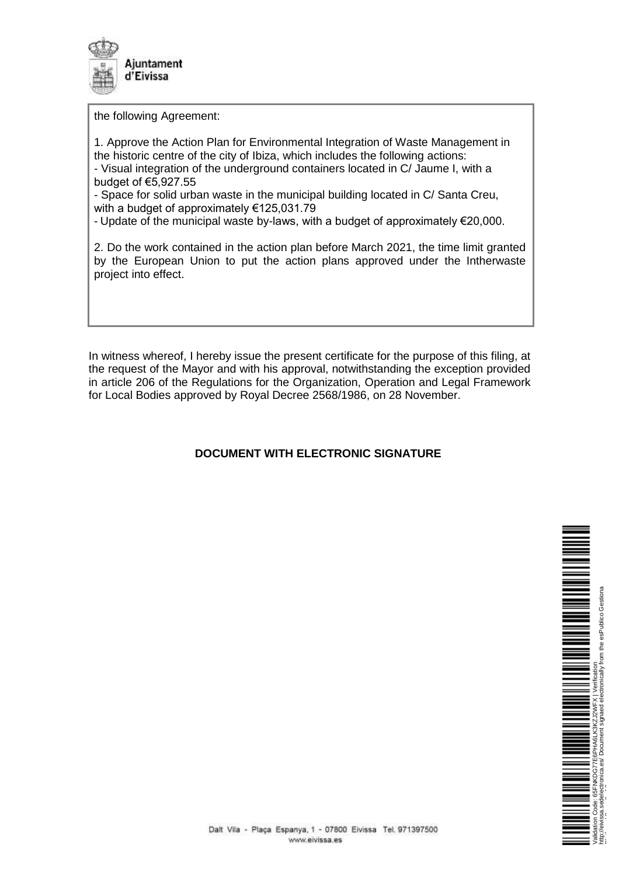

the following Agreement:

1. Approve the Action Plan for Environmental Integration of Waste Management in the historic centre of the city of Ibiza, which includes the following actions: - Visual integration of the underground containers located in C/ Jaume I, with a budget of €5,927.55

- Space for solid urban waste in the municipal building located in C/ Santa Creu, with a budget of approximately €125,031.79

- Update of the municipal waste by-laws, with a budget of approximately €20,000.

2. Do the work contained in the action plan before March 2021, the time limit granted by the European Union to put the action plans approved under the Intherwaste project into effect.

In witness whereof, I hereby issue the present certificate for the purpose of this filing, at the request of the Mayor and with his approval, notwithstanding the exception provided in article 206 of the Regulations for the Organization, Operation and Legal Framework for Local Bodies approved by Royal Decree 2568/1986, on 28 November.

# **DOCUMENT WITH ELECTRONIC SIGNATURE**



Platform | Page 2 of 2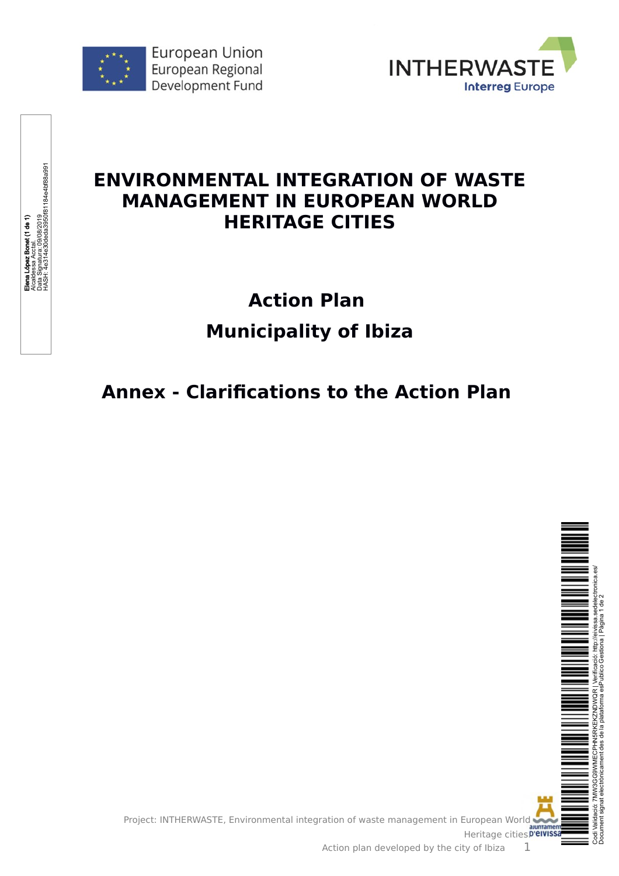

Elena López Bonet (1 de 1) Alcaldessa Acctal. Data Signatura: 09/08/2019

Bonet (1 de 1)

HASH: 4e314e30deda3950f81184e4bf88a991

zessa ∧uudi.<br>Signatura: 09/08/2019<br>†: 4e314e30deda3950f81184e4bf88a991



# **ENVIRONMENTAL INTEGRATION OF WASTE MANAGEMENT IN EUROPEAN WORLD HERITAGE CITIES**

# **Action Plan Municipality of Ibiza**

# **Annex - Clarifications to the Action Plan**

Project: INTHERWASTE, Environmental integration of waste management in European World



auntament<br>Heritage cities.**D'eivissa** Action plan developed by the city of Ibiza  $1$